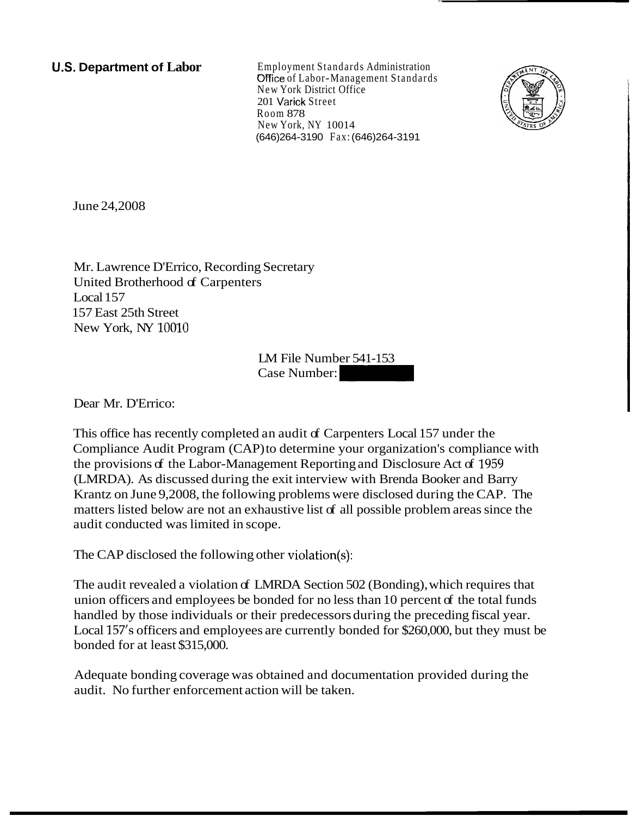**U.S. Department of Labor** Employment Standards Administration Office of Labor-Management Standards New York District Office 201 Varick Street Room 878 New York, NY 10014 (646)264-3190 Fax: (646)264-3191



June 24,2008

Mr. Lawrence D'Errico, Recording Secretary United Brotherhood of Carpenters Local 157 157 East 25th Street New York, NY 10010 Exercitary<br>
S<br>
LM File Number: 541-153<br>
Case Number:<br>
.

LM File Number 541-153

Dear Mr. D'Errico:

This office has recently completed an audit of Carpenters Local 157 under the Compliance Audit Program (CAP) to determine your organization's compliance with the provisions of the Labor-Management Reporting and Disclosure Act of 1959 (LMRDA). As discussed during the exit interview with Brenda Booker and Barry Krantz on June 9,2008, the following problems were disclosed during the CAP. The matters listed below are not an exhaustive list of all possible problem areas since the audit conducted was limited in scope.

The CAP disclosed the following other violation(s):

The audit revealed a violation of LMRDA Section 502 (Bonding), which requires that union officers and employees be bonded for no less than 10 percent of the total funds handled by those individuals or their predecessors during the preceding fiscal year. Local 157's officers and employees are currently bonded for \$260,000, but they must be bonded for at least \$315,000.

Adequate bonding coverage was obtained and documentation provided during the audit. No further enforcement action will be taken.